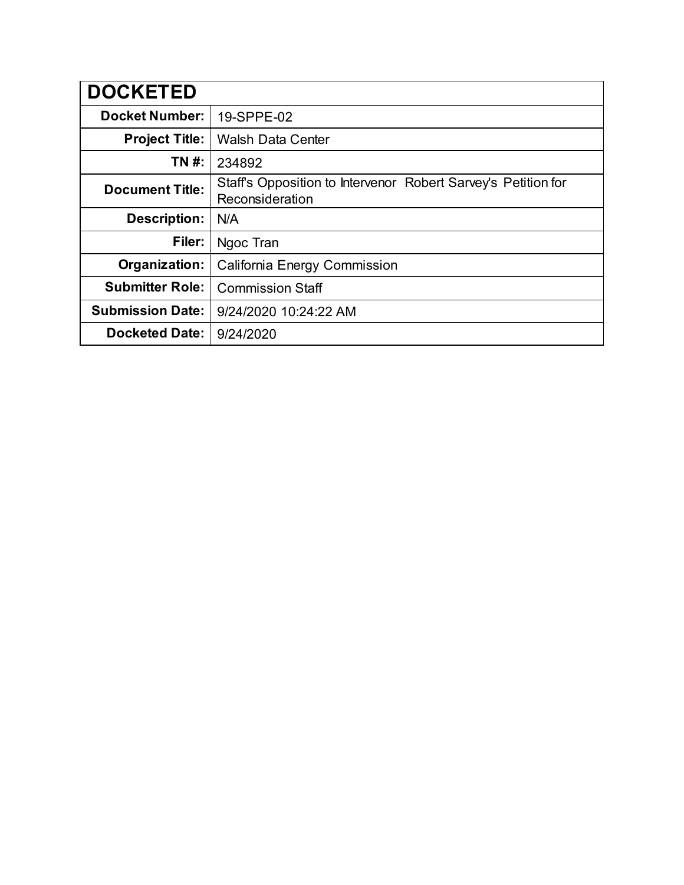| <b>DOCKETED</b>         |                                                                                  |
|-------------------------|----------------------------------------------------------------------------------|
| <b>Docket Number:</b>   | 19-SPPE-02                                                                       |
| <b>Project Title:</b>   | <b>Walsh Data Center</b>                                                         |
| TN #:                   | 234892                                                                           |
| <b>Document Title:</b>  | Staff's Opposition to Intervenor Robert Sarvey's Petition for<br>Reconsideration |
| <b>Description:</b>     | N/A                                                                              |
| Filer:                  | Ngoc Tran                                                                        |
| Organization:           | California Energy Commission                                                     |
| <b>Submitter Role:</b>  | <b>Commission Staff</b>                                                          |
| <b>Submission Date:</b> | 9/24/2020 10:24:22 AM                                                            |
| <b>Docketed Date:</b>   | 9/24/2020                                                                        |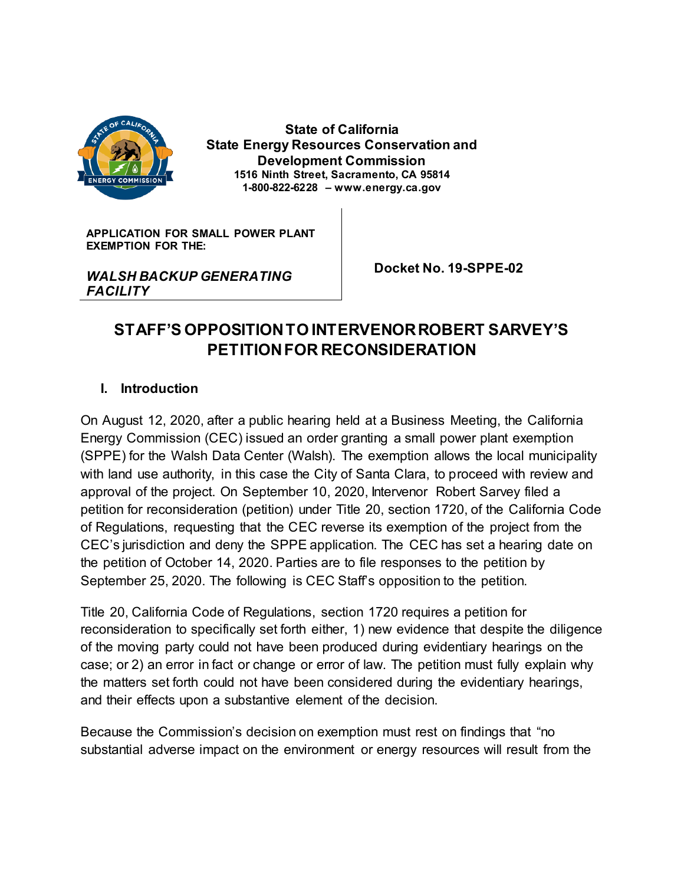

**State of California State Energy Resources Conservation and Development Commission 1516 Ninth Street, Sacramento, CA 95814 1-800-822-6228 – www.energy.ca.gov**

**APPLICATION FOR SMALL POWER PLANT EXEMPTION FOR THE:**

*WALSH BACKUP GENERATING FACILITY*

 **Docket No. 19-SPPE-02**

# **STAFF'S OPPOSITION TO INTERVENOR ROBERT SARVEY'S PETITION FOR RECONSIDERATION**

#### **I. Introduction**

On August 12, 2020, after a public hearing held at a Business Meeting, the California Energy Commission (CEC) issued an order granting a small power plant exemption (SPPE) for the Walsh Data Center (Walsh). The exemption allows the local municipality with land use authority, in this case the City of Santa Clara, to proceed with review and approval of the project. On September 10, 2020, Intervenor Robert Sarvey filed a petition for reconsideration (petition) under Title 20, section 1720, of the California Code of Regulations, requesting that the CEC reverse its exemption of the project from the CEC's jurisdiction and deny the SPPE application. The CEC has set a hearing date on the petition of October 14, 2020. Parties are to file responses to the petition by September 25, 2020. The following is CEC Staff's opposition to the petition.

Title 20, California Code of Regulations, section 1720 requires a petition for reconsideration to specifically set forth either, 1) new evidence that despite the diligence of the moving party could not have been produced during evidentiary hearings on the case; or 2) an error in fact or change or error of law. The petition must fully explain why the matters set forth could not have been considered during the evidentiary hearings, and their effects upon a substantive element of the decision.

Because the Commission's decision on exemption must rest on findings that "no substantial adverse impact on the environment or energy resources will result from the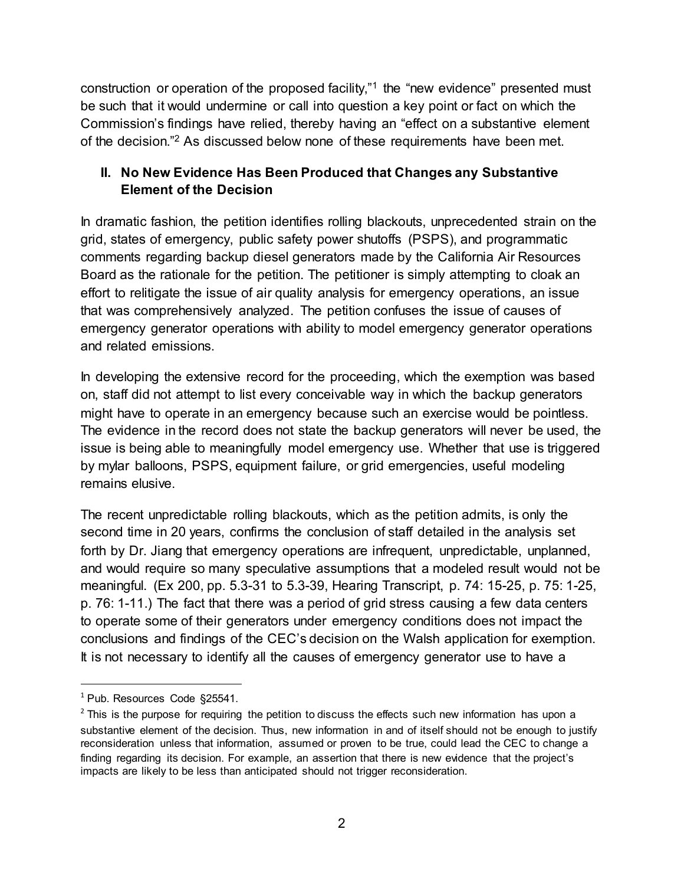construction or operation of the proposed facility,"<sup>1</sup> the "new evidence" presented must be such that it would undermine or call into question a key point or fact on which the Commission's findings have relied, thereby having an "effect on a substantive element of the decision."<sup>2</sup> As discussed below none of these requirements have been met.

## **II. No New Evidence Has Been Produced that Changes any Substantive Element of the Decision**

In dramatic fashion, the petition identifies rolling blackouts, unprecedented strain on the grid, states of emergency, public safety power shutoffs (PSPS), and programmatic comments regarding backup diesel generators made by the California Air Resources Board as the rationale for the petition. The petitioner is simply attempting to cloak an effort to relitigate the issue of air quality analysis for emergency operations, an issue that was comprehensively analyzed. The petition confuses the issue of causes of emergency generator operations with ability to model emergency generator operations and related emissions.

In developing the extensive record for the proceeding, which the exemption was based on, staff did not attempt to list every conceivable way in which the backup generators might have to operate in an emergency because such an exercise would be pointless. The evidence in the record does not state the backup generators will never be used, the issue is being able to meaningfully model emergency use. Whether that use is triggered by mylar balloons, PSPS, equipment failure, or grid emergencies, useful modeling remains elusive.

The recent unpredictable rolling blackouts, which as the petition admits, is only the second time in 20 years, confirms the conclusion of staff detailed in the analysis set forth by Dr. Jiang that emergency operations are infrequent, unpredictable, unplanned, and would require so many speculative assumptions that a modeled result would not be meaningful. (Ex 200, pp. 5.3-31 to 5.3-39, Hearing Transcript, p. 74: 15-25, p. 75: 1-25, p. 76: 1-11.) The fact that there was a period of grid stress causing a few data centers to operate some of their generators under emergency conditions does not impact the conclusions and findings of the CEC's decision on the Walsh application for exemption. It is not necessary to identify all the causes of emergency generator use to have a

 $\ddot{\phantom{a}}$ 

<sup>&</sup>lt;sup>1</sup> Pub. Resources Code §25541.

 $<sup>2</sup>$  This is the purpose for requiring the petition to discuss the effects such new information has upon a</sup> substantive element of the decision. Thus, new information in and of itself should not be enough to justify reconsideration unless that information, assumed or proven to be true, could lead the CEC to change a finding regarding its decision. For example, an assertion that there is new evidence that the project's impacts are likely to be less than anticipated should not trigger reconsideration.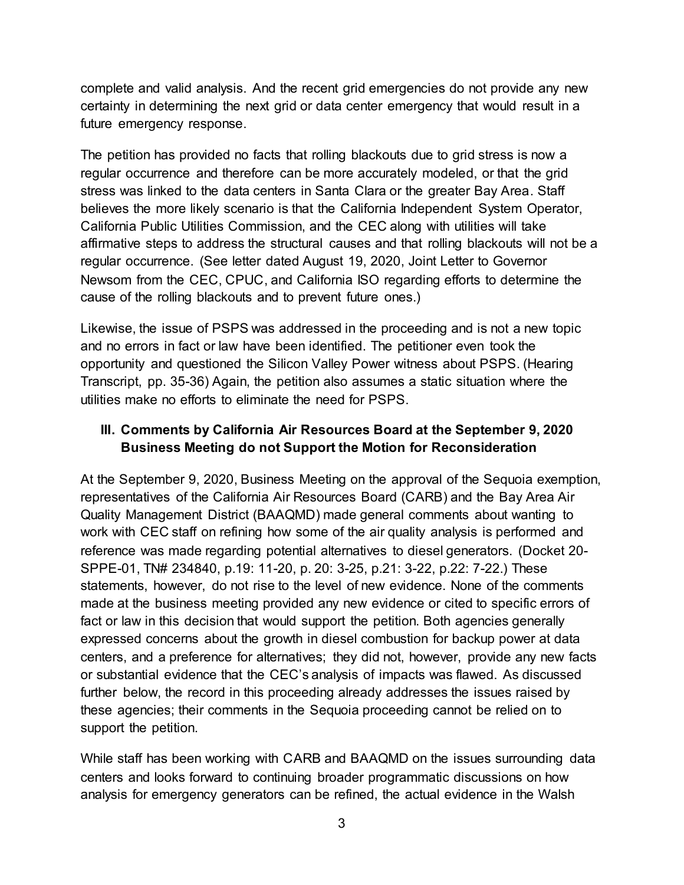complete and valid analysis. And the recent grid emergencies do not provide any new certainty in determining the next grid or data center emergency that would result in a future emergency response.

The petition has provided no facts that rolling blackouts due to grid stress is now a regular occurrence and therefore can be more accurately modeled, or that the grid stress was linked to the data centers in Santa Clara or the greater Bay Area. Staff believes the more likely scenario is that the California Independent System Operator, California Public Utilities Commission, and the CEC along with utilities will take affirmative steps to address the structural causes and that rolling blackouts will not be a regular occurrence. (See letter dated August 19, 2020, Joint Letter to Governor Newsom from the CEC, CPUC, and California ISO regarding efforts to determine the cause of the rolling blackouts and to prevent future ones.)

Likewise, the issue of PSPS was addressed in the proceeding and is not a new topic and no errors in fact or law have been identified. The petitioner even took the opportunity and questioned the Silicon Valley Power witness about PSPS. (Hearing Transcript, pp. 35-36) Again, the petition also assumes a static situation where the utilities make no efforts to eliminate the need for PSPS.

#### **III. Comments by California Air Resources Board at the September 9, 2020 Business Meeting do not Support the Motion for Reconsideration**

At the September 9, 2020, Business Meeting on the approval of the Sequoia exemption, representatives of the California Air Resources Board (CARB) and the Bay Area Air Quality Management District (BAAQMD) made general comments about wanting to work with CEC staff on refining how some of the air quality analysis is performed and reference was made regarding potential alternatives to diesel generators. (Docket 20- SPPE-01, TN# 234840, p.19: 11-20, p. 20: 3-25, p.21: 3-22, p.22: 7-22.) These statements, however, do not rise to the level of new evidence. None of the comments made at the business meeting provided any new evidence or cited to specific errors of fact or law in this decision that would support the petition. Both agencies generally expressed concerns about the growth in diesel combustion for backup power at data centers, and a preference for alternatives; they did not, however, provide any new facts or substantial evidence that the CEC's analysis of impacts was flawed. As discussed further below, the record in this proceeding already addresses the issues raised by these agencies; their comments in the Sequoia proceeding cannot be relied on to support the petition.

While staff has been working with CARB and BAAQMD on the issues surrounding data centers and looks forward to continuing broader programmatic discussions on how analysis for emergency generators can be refined, the actual evidence in the Walsh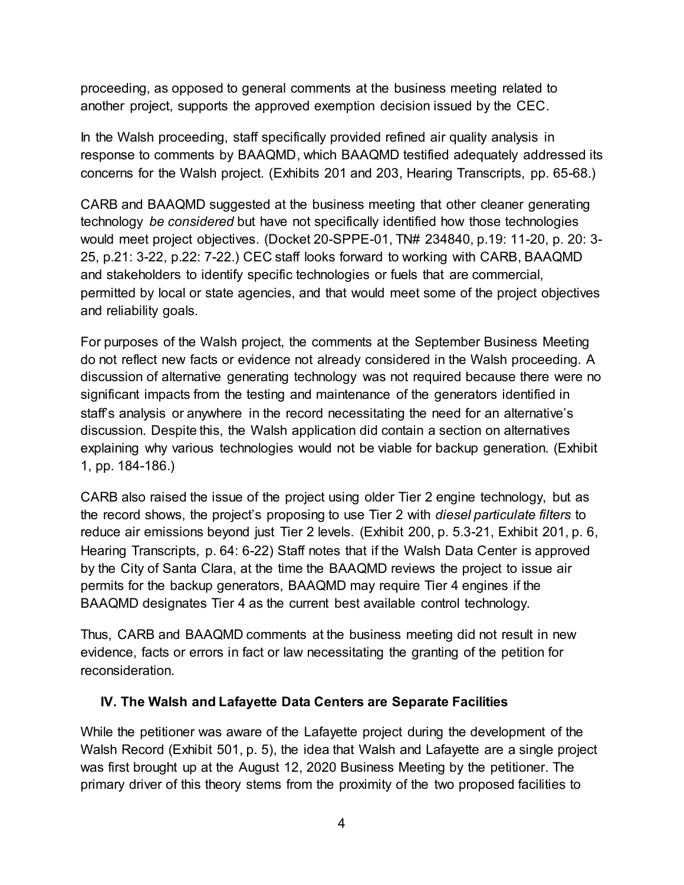proceeding, as opposed to general comments at the business meeting related to another project, supports the approved exemption decision issued by the CEC.

In the Walsh proceeding, staff specifically provided refined air quality analysis in response to comments by BAAQMD, which BAAQMD testified adequately addressed its concerns for the Walsh project. (Exhibits 201 and 203, Hearing Transcripts, pp. 65-68.)

CARB and BAAQMD suggested at the business meeting that other cleaner generating technology *be considered* but have not specifically identified how those technologies would meet project objectives. (Docket 20-SPPE-01, TN# 234840, p.19: 11-20, p. 20: 3- 25, p.21: 3-22, p.22: 7-22.) CEC staff looks forward to working with CARB, BAAQMD and stakeholders to identify specific technologies or fuels that are commercial, permitted by local or state agencies, and that would meet some of the project objectives and reliability goals.

For purposes of the Walsh project, the comments at the September Business Meeting do not reflect new facts or evidence not already considered in the Walsh proceeding. A discussion of alternative generating technology was not required because there were no significant impacts from the testing and maintenance of the generators identified in staff's analysis or anywhere in the record necessitating the need for an alternative's discussion. Despite this, the Walsh application did contain a section on alternatives explaining why various technologies would not be viable for backup generation. (Exhibit 1, pp. 184-186.)

CARB also raised the issue of the project using older Tier 2 engine technology, but as the record shows, the project's proposing to use Tier 2 with *diesel particulate filters* to reduce air emissions beyond just Tier 2 levels. (Exhibit 200, p. 5.3-21, Exhibit 201, p. 6, Hearing Transcripts, p. 64: 6-22) Staff notes that if the Walsh Data Center is approved by the City of Santa Clara, at the time the BAAQMD reviews the project to issue air permits for the backup generators, BAAQMD may require Tier 4 engines if the BAAQMD designates Tier 4 as the current best available control technology.

Thus, CARB and BAAQMD comments at the business meeting did not result in new evidence, facts or errors in fact or law necessitating the granting of the petition for reconsideration.

#### **IV. The Walsh and Lafayette Data Centers are Separate Facilities**

While the petitioner was aware of the Lafayette project during the development of the Walsh Record (Exhibit 501, p. 5), the idea that Walsh and Lafayette are a single project was first brought up at the August 12, 2020 Business Meeting by the petitioner. The primary driver of this theory stems from the proximity of the two proposed facilities to